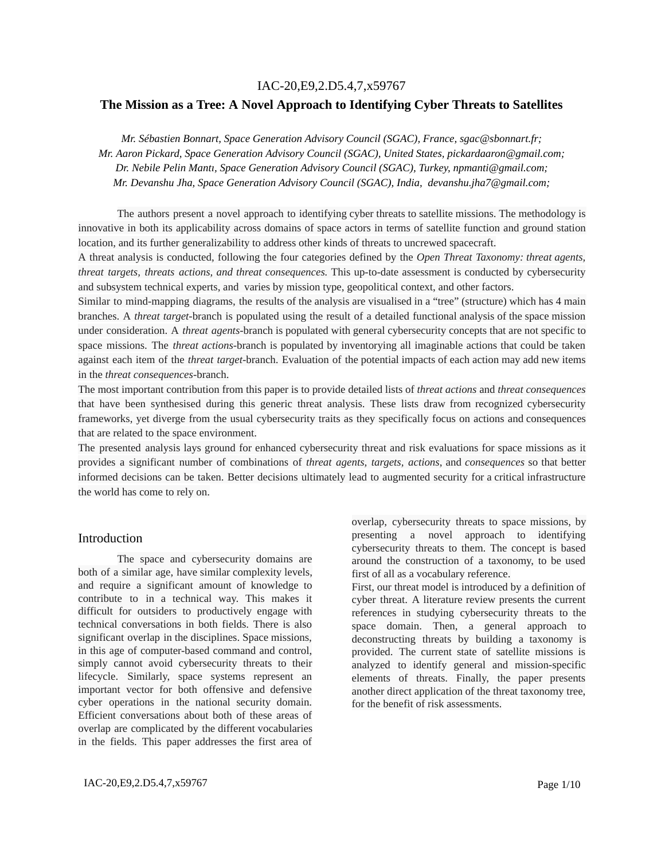### IAC-20,E9,2.D5.4,7,x59767

## **The Mission as a Tree: A Novel Approach to Identifying Cyber Threats to Satellites**

*Mr. Sébastien Bonnart, Space Generation Advisory Council (SGAC), France, sgac@sbonnart.fr; Mr. Aaron Pickard, Space Generation Advisory Council (SGAC), United States, pickardaaron@gmail.com; Dr. Nebile Pelin Mantı, Space Generation Advisory Council (SGAC), Turkey, npmanti@gmail.com; Mr. Devanshu Jha, Space Generation Advisory Council (SGAC), India, devanshu.jha7@gmail.com;*

The authors present a novel approach to identifying cyber threats to satellite missions. The methodology is innovative in both its applicability across domains of space actors in terms of satellite function and ground station location, and its further generalizability to address other kinds of threats to uncrewed spacecraft.

A threat analysis is conducted, following the four categories defined by the *Open Threat Taxonomy: threat agents, threat targets, threats actions, and threat consequences.* This up-to-date assessment is conducted by cybersecurity and subsystem technical experts, and varies by mission type, geopolitical context, and other factors.

Similar to mind-mapping diagrams, the results of the analysis are visualised in a "tree" (structure) which has 4 main branches. A *threat target*-branch is populated using the result of a detailed functional analysis of the space mission under consideration. A *threat agents*-branch is populated with general cybersecurity concepts that are not specific to space missions. The *threat actions*-branch is populated by inventorying all imaginable actions that could be taken against each item of the *threat target*-branch. Evaluation of the potential impacts of each action may add new items in the *threat consequences*-branch.

The most important contribution from this paper is to provide detailed lists of *threat actions* and *threat consequences* that have been synthesised during this generic threat analysis. These lists draw from recognized cybersecurity frameworks, yet diverge from the usual cybersecurity traits as they specifically focus on actions and consequences that are related to the space environment.

The presented analysis lays ground for enhanced cybersecurity threat and risk evaluations for space missions as it provides a significant number of combinations of *threat agents, targets, actions*, and *consequences* so that better informed decisions can be taken. Better decisions ultimately lead to augmented security for a critical infrastructure the world has come to rely on.

#### Introduction

The space and cybersecurity domains are both of a similar age, have similar complexity levels, and require a significant amount of knowledge to contribute to in a technical way. This makes it difficult for outsiders to productively engage with technical conversations in both fields. There is also significant overlap in the disciplines. Space missions, in this age of computer-based command and control, simply cannot avoid cybersecurity threats to their lifecycle. Similarly, space systems represent an important vector for both offensive and defensive cyber operations in the national security domain. Efficient conversations about both of these areas of overlap are complicated by the different vocabularies in the fields. This paper addresses the first area of overlap, cybersecurity threats to space missions, by presenting a novel approach to identifying cybersecurity threats to them. The concept is based around the construction of a taxonomy, to be used first of all as a vocabulary reference.

First, our threat model is introduced by a definition of cyber threat. A literature review presents the current references in studying cybersecurity threats to the space domain. Then, a general approach to deconstructing threats by building a taxonomy is provided. The current state of satellite missions is analyzed to identify general and mission-specific elements of threats. Finally, the paper presents another direct application of the threat taxonomy tree, for the benefit of risk assessments.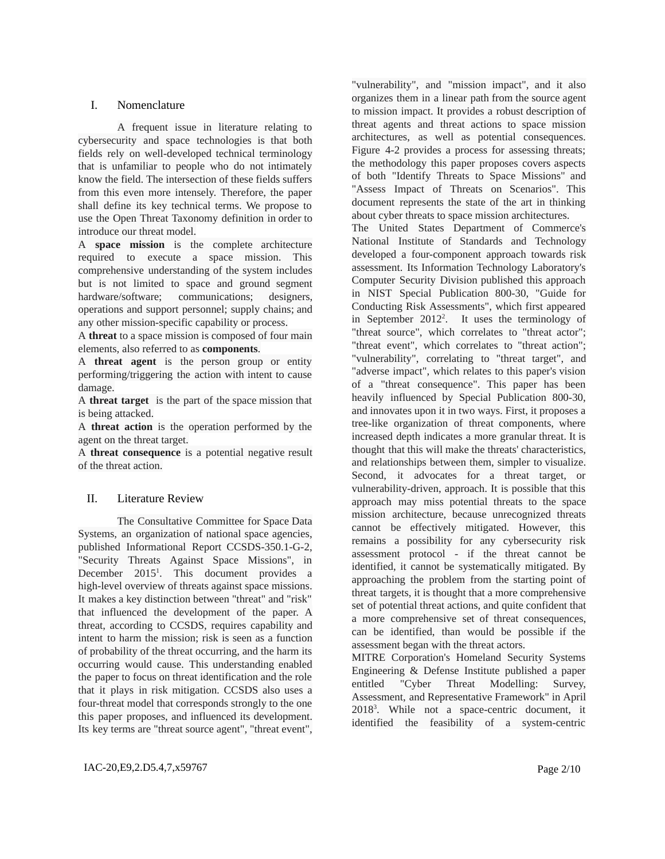# I. Nomenclature

A frequent issue in literature relating to cybersecurity and space technologies is that both fields rely on well-developed technical terminology that is unfamiliar to people who do not intimately know the field. The intersection of these fields suffers from this even more intensely. Therefore, the paper shall define its key technical terms. We propose to use the Open Threat Taxonomy definition in order to introduce our threat model.

A **space mission** is the complete architecture required to execute a space mission. This comprehensive understanding of the system includes but is not limited to space and ground segment hardware/software; communications; designers, operations and support personnel; supply chains; and any other mission-specific capability or process.

A **threat** to a space mission is composed of four main elements, also referred to as **components**.

A **threat agent** is the person group or entity performing/triggering the action with intent to cause damage.

A **threat target** is the part of the space mission that is being attacked.

A **threat action** is the operation performed by the agent on the threat target.

A **threat consequence** is a potential negative result of the threat action.

## II. Literature Review

The Consultative Committee for Space Data Systems, an organization of national space agencies, published Informational Report CCSDS-350.1-G-2, "Security Threats Against Space Missions", in December 2015<sup>1</sup>. This document provides a high-level overview of threats against space missions. It makes a key distinction between "threat" and "risk" that influenced the development of the paper. A threat, according to CCSDS, requires capability and intent to harm the mission; risk is seen as a function of probability of the threat occurring, and the harm its occurring would cause. This understanding enabled the paper to focus on threat identification and the role that it plays in risk mitigation. CCSDS also uses a four-threat model that corresponds strongly to the one this paper proposes, and influenced its development. Its key terms are "threat source agent", "threat event", "vulnerability", and "mission impact", and it also organizes them in a linear path from the source agent to mission impact. It provides a robust description of threat agents and threat actions to space mission architectures, as well as potential consequences. Figure 4-2 provides a process for assessing threats; the methodology this paper proposes covers aspects of both "Identify Threats to Space Missions" and "Assess Impact of Threats on Scenarios". This document represents the state of the art in thinking about cyber threats to space mission architectures.

The United States Department of Commerce's National Institute of Standards and Technology developed a four-component approach towards risk assessment. Its Information Technology Laboratory's Computer Security Division published this approach in NIST Special Publication 800-30, "Guide for Conducting Risk Assessments", which first appeared in September  $2012^2$ . It uses the terminology of "threat source", which correlates to "threat actor"; "threat event", which correlates to "threat action"; "vulnerability", correlating to "threat target", and "adverse impact", which relates to this paper's vision of a "threat consequence". This paper has been heavily influenced by Special Publication 800-30, and innovates upon it in two ways. First, it proposes a tree-like organization of threat components, where increased depth indicates a more granular threat. It is thought that this will make the threats' characteristics, and relationships between them, simpler to visualize. Second, it advocates for a threat target, or vulnerability-driven, approach. It is possible that this approach may miss potential threats to the space mission architecture, because unrecognized threats cannot be effectively mitigated. However, this remains a possibility for any cybersecurity risk assessment protocol - if the threat cannot be identified, it cannot be systematically mitigated. By approaching the problem from the starting point of threat targets, it is thought that a more comprehensive set of potential threat actions, and quite confident that a more comprehensive set of threat consequences, can be identified, than would be possible if the assessment began with the threat actors.

MITRE Corporation's Homeland Security Systems Engineering & Defense Institute published a paper entitled "Cyber Threat Modelling: Survey, Assessment, and Representative Framework" in April 2018<sup>3</sup>. While not a space-centric document, it identified the feasibility of a system-centric

IAC-20,E9,2.D5.4,7,x59767 Page 2/10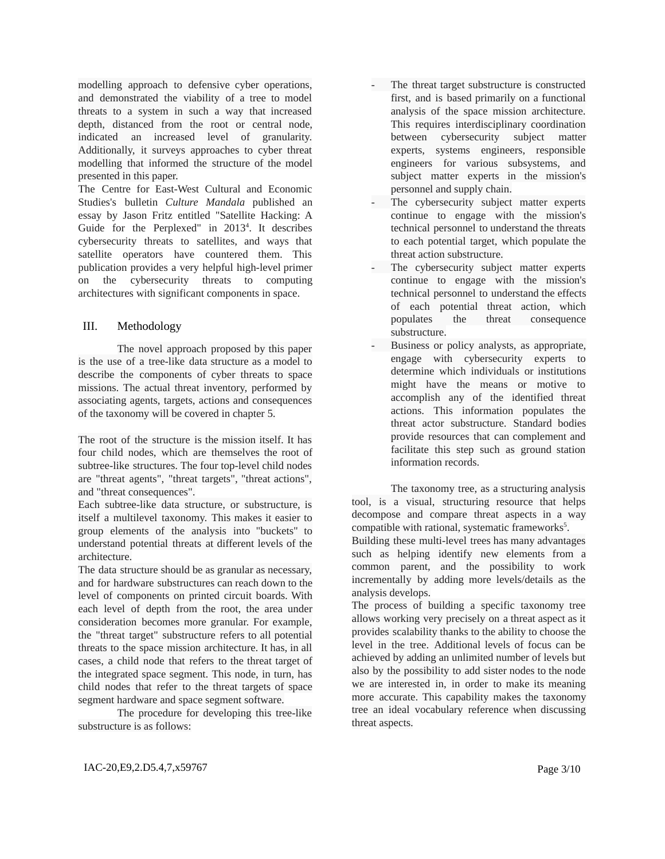modelling approach to defensive cyber operations, and demonstrated the viability of a tree to model threats to a system in such a way that increased depth, distanced from the root or central node, indicated an increased level of granularity. Additionally, it surveys approaches to cyber threat modelling that informed the structure of the model presented in this paper.

The Centre for East-West Cultural and Economic Studies's bulletin *Culture Mandala* published an essay by Jason Fritz entitled "Satellite Hacking: A Guide for the Perplexed" in 2013<sup>4</sup>. It describes cybersecurity threats to satellites, and ways that satellite operators have countered them. This publication provides a very helpful high-level primer on the cybersecurity threats to computing architectures with significant components in space.

## III. Methodology

The novel approach proposed by this paper is the use of a tree-like data structure as a model to describe the components of cyber threats to space missions. The actual threat inventory, performed by associating agents, targets, actions and consequences of the taxonomy will be covered in chapter 5.

The root of the structure is the mission itself. It has four child nodes, which are themselves the root of subtree-like structures. The four top-level child nodes are "threat agents", "threat targets", "threat actions", and "threat consequences".

Each subtree-like data structure, or substructure, is itself a multilevel taxonomy. This makes it easier to group elements of the analysis into "buckets" to understand potential threats at different levels of the architecture.

The data structure should be as granular as necessary, and for hardware substructures can reach down to the level of components on printed circuit boards. With each level of depth from the root, the area under consideration becomes more granular. For example, the "threat target" substructure refers to all potential threats to the space mission architecture. It has, in all cases, a child node that refers to the threat target of the integrated space segment. This node, in turn, has child nodes that refer to the threat targets of space segment hardware and space segment software.

The procedure for developing this tree-like substructure is as follows:

- The threat target substructure is constructed first, and is based primarily on a functional analysis of the space mission architecture. This requires interdisciplinary coordination between cybersecurity subject matter experts, systems engineers, responsible engineers for various subsystems, and subject matter experts in the mission's personnel and supply chain.
- The cybersecurity subject matter experts continue to engage with the mission's technical personnel to understand the threats to each potential target, which populate the threat action substructure.
- The cybersecurity subject matter experts continue to engage with the mission's technical personnel to understand the effects of each potential threat action, which populates the threat consequence substructure.
- Business or policy analysts, as appropriate, engage with cybersecurity experts to determine which individuals or institutions might have the means or motive to accomplish any of the identified threat actions. This information populates the threat actor substructure. Standard bodies provide resources that can complement and facilitate this step such as ground station information records.

The taxonomy tree, as a structuring analysis tool, is a visual, structuring resource that helps decompose and compare threat aspects in a way compatible with rational, systematic frameworks<sup>5</sup>.

Building these multi-level trees has many advantages such as helping identify new elements from a common parent, and the possibility to work incrementally by adding more levels/details as the analysis develops.

The process of building a specific taxonomy tree allows working very precisely on a threat aspect as it provides scalability thanks to the ability to choose the level in the tree. Additional levels of focus can be achieved by adding an unlimited number of levels but also by the possibility to add sister nodes to the node we are interested in, in order to make its meaning more accurate. This capability makes the taxonomy tree an ideal vocabulary reference when discussing threat aspects.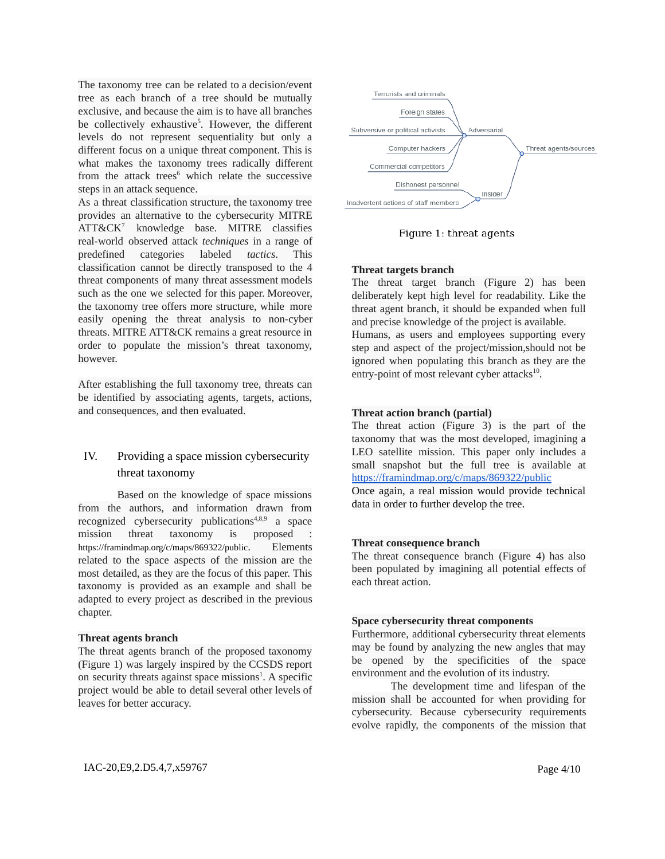The taxonomy tree can be related to a decision/event tree as each branch of a tree should be mutually exclusive, and because the aim is to have all branches be collectively exhaustive<sup>5</sup>. However, the different levels do not represent sequentiality but only a different focus on a unique threat component. This is what makes the taxonomy trees radically different from the attack trees<sup>6</sup> which relate the successive steps in an attack sequence.

As a threat classification structure, the taxonomy tree provides an alternative to the cybersecurity MITRE ATT&CK<sup>7</sup> knowledge base. MITRE classifies real-world observed attack *techniques* in a range of predefined categories labeled *tactics*. This classification cannot be directly transposed to the 4 threat components of many threat assessment models such as the one we selected for this paper. Moreover, the taxonomy tree offers more structure, while more easily opening the threat analysis to non-cyber threats. MITRE ATT&CK remains a great resource in order to populate the mission's threat taxonomy, however.

After establishing the full taxonomy tree, threats can be identified by associating agents, targets, actions, and consequences, and then evaluated.

# IV. Providing a space mission cybersecurity threat taxonomy

Based on the knowledge of space missions from the authors, and information drawn from recognized cybersecurity publications<sup>4,8,9</sup> a space mission threat taxonomy is proposed : https://framindmap.org/c/maps/869322/public. Elements related to the space aspects of the mission are the most detailed, as they are the focus of this paper. This taxonomy is provided as an example and shall be adapted to every project as described in the previous chapter.

#### **Threat agents branch**

The threat agents branch of the proposed taxonomy (Figure 1) was largely inspired by the CCSDS report on security threats against space missions<sup>1</sup>. A specific project would be able to detail several other levels of leaves for better accuracy.



Figure 1: threat agents

## **Threat targets branch**

The threat target branch (Figure 2) has been deliberately kept high level for readability. Like the threat agent branch, it should be expanded when full and precise knowledge of the project is available. Humans, as users and employees supporting every step and aspect of the project/mission,should not be ignored when populating this branch as they are the entry-point of most relevant cyber attacks<sup>10</sup>.

#### **Threat action branch (partial)**

The threat action (Figure 3) is the part of the taxonomy that was the most developed, imagining a LEO satellite mission. This paper only includes a small snapshot but the full tree is available at <https://framindmap.org/c/maps/869322/public>

Once again, a real mission would provide technical data in order to further develop the tree.

#### **Threat consequence branch**

The threat consequence branch (Figure 4) has also been populated by imagining all potential effects of each threat action.

#### **Space cybersecurity threat components**

Furthermore, additional cybersecurity threat elements may be found by analyzing the new angles that may be opened by the specificities of the space environment and the evolution of its industry.

The development time and lifespan of the mission shall be accounted for when providing for cybersecurity. Because cybersecurity requirements evolve rapidly, the components of the mission that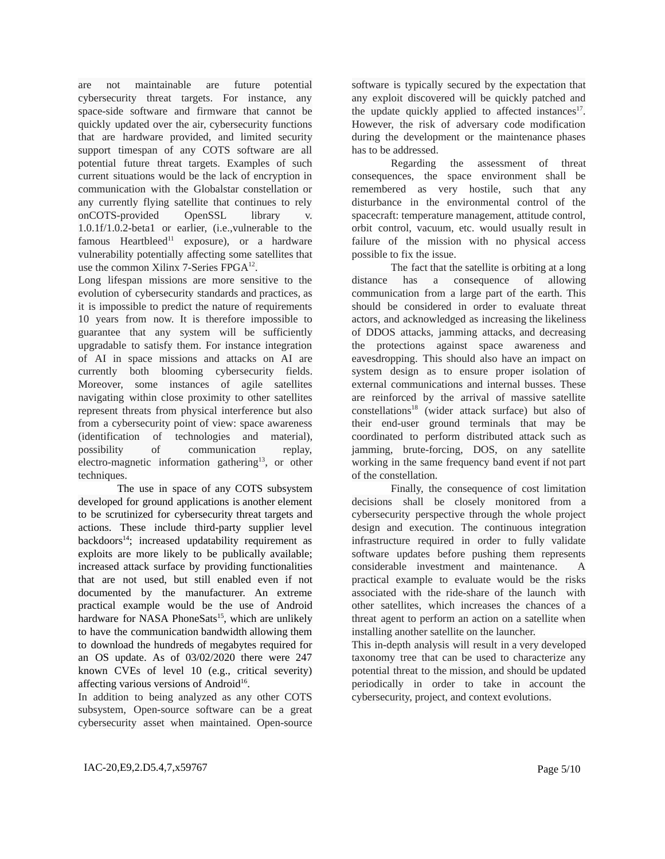are not maintainable are future potential cybersecurity threat targets. For instance, any space-side software and firmware that cannot be quickly updated over the air, cybersecurity functions that are hardware provided, and limited security support timespan of any COTS software are all potential future threat targets. Examples of such current situations would be the lack of encryption in communication with the Globalstar constellation or any currently flying satellite that continues to rely onCOTS-provided OpenSSL library v. 1.0.1f/1.0.2-beta1 or earlier, (i.e.,vulnerable to the famous Heartbleed<sup>11</sup> exposure), or a hardware vulnerability potentially affecting some satellites that use the common Xilinx 7-Series FPGA<sup>12</sup>.

Long lifespan missions are more sensitive to the evolution of cybersecurity standards and practices, as it is impossible to predict the nature of requirements 10 years from now. It is therefore impossible to guarantee that any system will be sufficiently upgradable to satisfy them. For instance integration of AI in space missions and attacks on AI are currently both blooming cybersecurity fields. Moreover, some instances of agile satellites navigating within close proximity to other satellites represent threats from physical interference but also from a cybersecurity point of view: space awareness (identification of technologies and material), possibility of communication replay, electro-magnetic information gathering<sup>13</sup>, or other techniques.

The use in space of any COTS subsystem developed for ground applications is another element to be scrutinized for cybersecurity threat targets and actions. These include third-party supplier level backdoors <sup>14</sup>; increased updatability requirement as exploits are more likely to be publically available; increased attack surface by providing functionalities that are not used, but still enabled even if not documented by the manufacturer. An extreme practical example would be the use of Android hardware for NASA PhoneSats<sup>15</sup>, which are unlikely to have the communication bandwidth allowing them to download the hundreds of megabytes required for an OS update. As of 03/02/2020 there were 247 known CVEs of level 10 (e.g., critical severity) affecting various versions of Android<sup>16</sup>.

In addition to being analyzed as any other COTS subsystem, Open-source software can be a great cybersecurity asset when maintained. Open-source software is typically secured by the expectation that any exploit discovered will be quickly patched and the update quickly applied to affected instances $17$ . However, the risk of adversary code modification during the development or the maintenance phases has to be addressed.

Regarding the assessment of threat consequences, the space environment shall be remembered as very hostile, such that any disturbance in the environmental control of the spacecraft: temperature management, attitude control, orbit control, vacuum, etc. would usually result in failure of the mission with no physical access possible to fix the issue.

The fact that the satellite is orbiting at a long distance has a consequence of allowing communication from a large part of the earth. This should be considered in order to evaluate threat actors, and acknowledged as increasing the likeliness of DDOS attacks, jamming attacks, and decreasing the protections against space awareness and eavesdropping. This should also have an impact on system design as to ensure proper isolation of external communications and internal busses. These are reinforced by the arrival of massive satellite constellations<sup>18</sup> (wider attack surface) but also of their end-user ground terminals that may be coordinated to perform distributed attack such as jamming, brute-forcing, DOS, on any satellite working in the same frequency band event if not part of the constellation.

Finally, the consequence of cost limitation decisions shall be closely monitored from a cybersecurity perspective through the whole project design and execution. The continuous integration infrastructure required in order to fully validate software updates before pushing them represents considerable investment and maintenance. A practical example to evaluate would be the risks associated with the ride-share of the launch with other satellites, which increases the chances of a threat agent to perform an action on a satellite when installing another satellite on the launcher.

This in-depth analysis will result in a very developed taxonomy tree that can be used to characterize any potential threat to the mission, and should be updated periodically in order to take in account the cybersecurity, project, and context evolutions.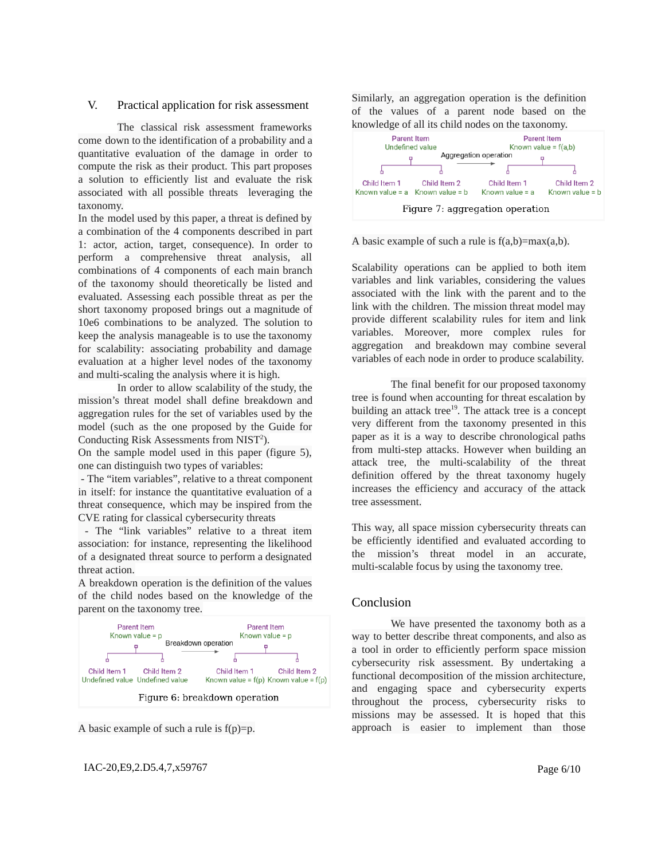#### V. Practical application for risk assessment

The classical risk assessment frameworks come down to the identification of a probability and a quantitative evaluation of the damage in order to compute the risk as their product. This part proposes a solution to efficiently list and evaluate the risk associated with all possible threats leveraging the taxonomy.

In the model used by this paper, a threat is defined by a combination of the 4 components described in part 1: actor, action, target, consequence). In order to perform a comprehensive threat analysis, all combinations of 4 components of each main branch of the taxonomy should theoretically be listed and evaluated. Assessing each possible threat as per the short taxonomy proposed brings out a magnitude of 10e6 combinations to be analyzed. The solution to keep the analysis manageable is to use the taxonomy for scalability: associating probability and damage evaluation at a higher level nodes of the taxonomy and multi-scaling the analysis where it is high.

In order to allow scalability of the study, the mission's threat model shall define breakdown and aggregation rules for the set of variables used by the model (such as the one proposed by the Guide for Conducting Risk Assessments from  $NIST<sup>2</sup>$ ).

On the sample model used in this paper (figure 5), one can distinguish two types of variables:

- The "item variables", relative to a threat component in itself: for instance the quantitative evaluation of a threat consequence, which may be inspired from the CVE rating for classical cybersecurity threats

- The "link variables" relative to a threat item association: for instance, representing the likelihood of a designated threat source to perform a designated threat action.

A breakdown operation is the definition of the values of the child nodes based on the knowledge of the parent on the taxonomy tree.



A basic example of such a rule is  $f(p)=p$ .

# IAC-20, E9, 2. D5.4, 7, x 59767 Page 6/10

Similarly, an aggregation operation is the definition of the values of a parent node based on the knowledge of all its child nodes on the taxonomy.



A basic example of such a rule is  $f(a,b)=max(a,b)$ .

Scalability operations can be applied to both item variables and link variables, considering the values associated with the link with the parent and to the link with the children. The mission threat model may provide different scalability rules for item and link variables. Moreover, more complex rules for aggregation and breakdown may combine several variables of each node in order to produce scalability.

The final benefit for our proposed taxonomy tree is found when accounting for threat escalation by building an attack tree<sup>19</sup>. The attack tree is a concept very different from the taxonomy presented in this paper as it is a way to describe chronological paths from multi-step attacks. However when building an attack tree, the multi-scalability of the threat definition offered by the threat taxonomy hugely increases the efficiency and accuracy of the attack tree assessment.

This way, all space mission cybersecurity threats can be efficiently identified and evaluated according to the mission's threat model in an accurate, multi-scalable focus by using the taxonomy tree.

## Conclusion

We have presented the taxonomy both as a way to better describe threat components, and also as a tool in order to efficiently perform space mission cybersecurity risk assessment. By undertaking a functional decomposition of the mission architecture, and engaging space and cybersecurity experts throughout the process, cybersecurity risks to missions may be assessed. It is hoped that this approach is easier to implement than those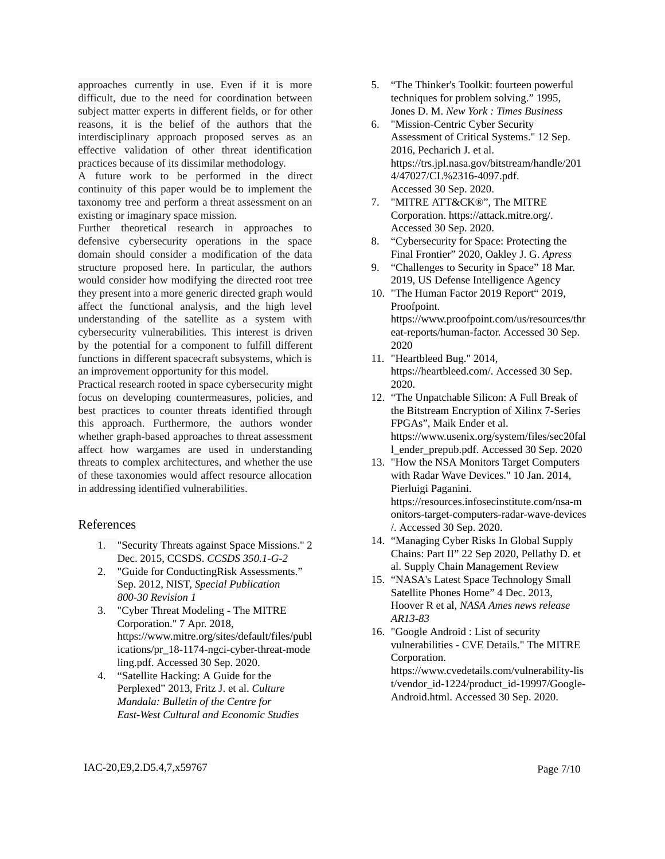approaches currently in use. Even if it is more difficult, due to the need for coordination between subject matter experts in different fields, or for other reasons, it is the belief of the authors that the interdisciplinary approach proposed serves as an effective validation of other threat identification practices because of its dissimilar methodology.

A future work to be performed in the direct continuity of this paper would be to implement the taxonomy tree and perform a threat assessment on an existing or imaginary space mission.

Further theoretical research in approaches to defensive cybersecurity operations in the space domain should consider a modification of the data structure proposed here. In particular, the authors would consider how modifying the directed root tree they present into a more generic directed graph would affect the functional analysis, and the high level understanding of the satellite as a system with cybersecurity vulnerabilities. This interest is driven by the potential for a component to fulfill different functions in different spacecraft subsystems, which is an improvement opportunity for this model.

Practical research rooted in space cybersecurity might focus on developing countermeasures, policies, and best practices to counter threats identified through this approach. Furthermore, the authors wonder whether graph-based approaches to threat assessment affect how wargames are used in understanding threats to complex architectures, and whether the use of these taxonomies would affect resource allocation in addressing identified vulnerabilities.

# References

- 1. "Security Threats against Space Missions." 2 Dec. 2015, CCSDS. *CCSDS 350.1-G-2*
- 2. "Guide for ConductingRisk Assessments." Sep. 2012, NIST, *Special Publication 800-30 Revision 1*
- 3. "Cyber Threat Modeling The MITRE Corporation." 7 Apr. 2018, https://www.mitre.org/sites/default/files/publ ications/pr\_18-1174-ngci-cyber-threat-mode ling.pdf. Accessed 30 Sep. 2020.
- 4. "Satellite Hacking: A Guide for the Perplexed" 2013, Fritz J. et al. *Culture Mandala: Bulletin of the Centre for East-West Cultural and Economic Studies*
- 5. "The Thinker's Toolkit: fourteen powerful techniques for problem solving." 1995, Jones D. M. *New York : Times Business*
- 6. "Mission-Centric Cyber Security Assessment of Critical Systems." 12 Sep. 2016, Pecharich J. et al. https://trs.jpl.nasa.gov/bitstream/handle/201 4/47027/CL%2316-4097.pdf. Accessed 30 Sep. 2020.
- 7. "MITRE ATT&CK®", The MITRE Corporation. https://attack.mitre.org/. Accessed 30 Sep. 2020.
- 8. "Cybersecurity for Space: Protecting the Final Frontier" 2020, Oakley J. G. *Apress*
- 9. "Challenges to Security in Space" 18 Mar. 2019, US Defense Intelligence Agency
- 10. "The Human Factor 2019 Report" 2019, Proofpoint. https://www.proofpoint.com/us/resources/thr eat-reports/human-factor. Accessed 30 Sep. 2020
- 11. "Heartbleed Bug." 2014, https://heartbleed.com/. Accessed 30 Sep. 2020.
- 12. "The Unpatchable Silicon: A Full Break of the Bitstream Encryption of Xilinx 7-Series FPGAs", Maik Ender et al. https://www.usenix.org/system/files/sec20fal l\_ender\_prepub.pdf. Accessed 30 Sep. 2020
- 13. "How the NSA Monitors Target Computers with Radar Wave Devices." 10 Jan. 2014, Pierluigi Paganini. https://resources.infosecinstitute.com/nsa-m onitors-target-computers-radar-wave-devices /. Accessed 30 Sep. 2020.
- 14. "Managing Cyber Risks In Global Supply Chains: Part II" 22 Sep 2020, Pellathy D. et al. Supply Chain Management Review
- 15. "NASA's Latest Space Technology Small Satellite Phones Home" 4 Dec. 2013, Hoover R et al, *NASA Ames news release AR13-83*
- 16. "Google Android : List of security vulnerabilities - CVE Details." The MITRE Corporation. https://www.cvedetails.com/vulnerability-lis t/vendor\_id-1224/product\_id-19997/Google-Android.html. Accessed 30 Sep. 2020.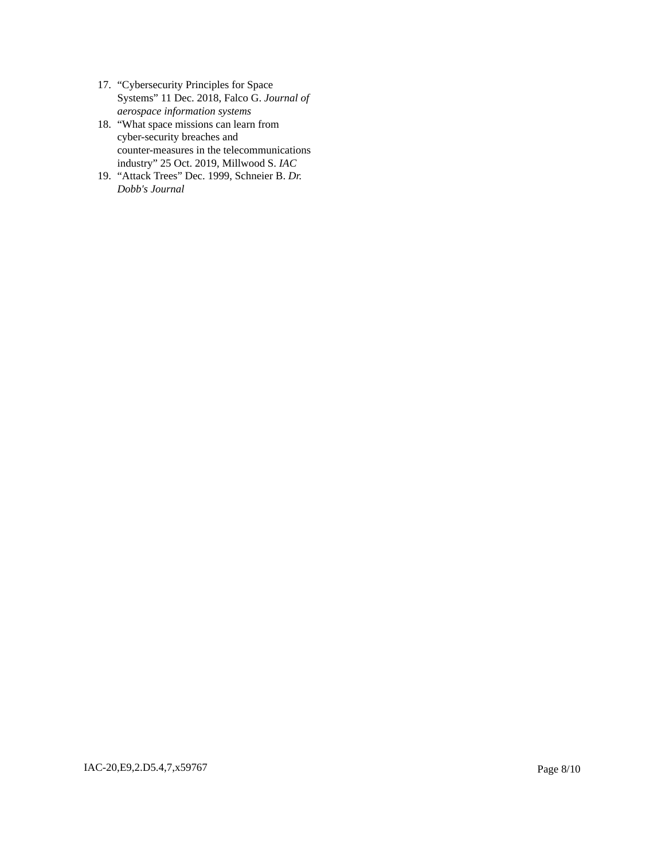- 17. "Cybersecurity Principles for Space Systems" 11 Dec. 2018, Falco G. *Journal of aerospace information systems*
- 18. "What space missions can learn from cyber-security breaches and counter-measures in the telecommunications industry" 25 Oct. 2019, Millwood S. *IAC*
- 19. "Attack Trees" Dec. 1999, Schneier B. *Dr. Dobb's Journal*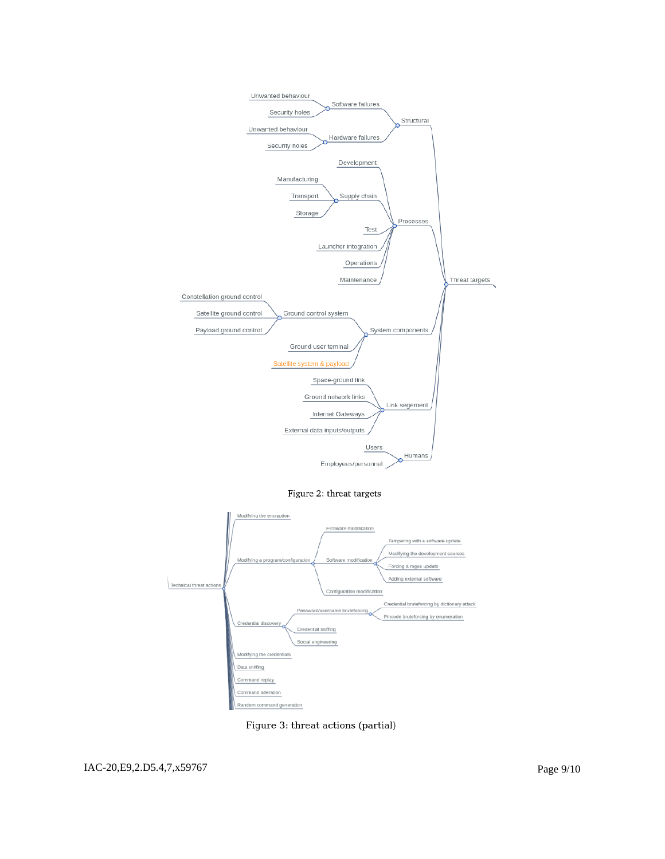

Figure 2: threat targets



Figure 3: threat actions (partial)